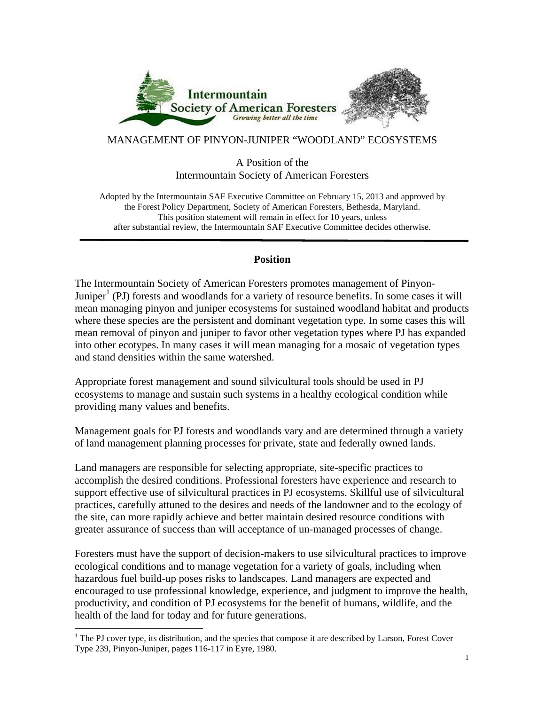

# MANAGEMENT OF PINYON-JUNIPER "WOODLAND" ECOSYSTEMS

## A Position of the Intermountain Society of American Foresters

Adopted by the Intermountain SAF Executive Committee on February 15, 2013 and approved by the Forest Policy Department, Society of American Foresters, Bethesda, Maryland. This position statement will remain in effect for 10 years, unless after substantial review, the Intermountain SAF Executive Committee decides otherwise.

# **Position**

The Intermountain Society of American Foresters promotes management of Pinyon-Juniper<sup>1</sup> (PJ) forests and woodlands for a variety of resource benefits. In some cases it will mean managing pinyon and juniper ecosystems for sustained woodland habitat and products where these species are the persistent and dominant vegetation type. In some cases this will mean removal of pinyon and juniper to favor other vegetation types where PJ has expanded into other ecotypes. In many cases it will mean managing for a mosaic of vegetation types and stand densities within the same watershed.

Appropriate forest management and sound silvicultural tools should be used in PJ ecosystems to manage and sustain such systems in a healthy ecological condition while providing many values and benefits.

Management goals for PJ forests and woodlands vary and are determined through a variety of land management planning processes for private, state and federally owned lands.

Land managers are responsible for selecting appropriate, site-specific practices to accomplish the desired conditions. Professional foresters have experience and research to support effective use of silvicultural practices in PJ ecosystems. Skillful use of silvicultural practices, carefully attuned to the desires and needs of the landowner and to the ecology of the site, can more rapidly achieve and better maintain desired resource conditions with greater assurance of success than will acceptance of un-managed processes of change.

Foresters must have the support of decision-makers to use silvicultural practices to improve ecological conditions and to manage vegetation for a variety of goals, including when hazardous fuel build-up poses risks to landscapes. Land managers are expected and encouraged to use professional knowledge, experience, and judgment to improve the health, productivity, and condition of PJ ecosystems for the benefit of humans, wildlife, and the health of the land for today and for future generations.

 $<sup>1</sup>$  The PJ cover type, its distribution, and the species that compose it are described by Larson, Forest Cover</sup> Type 239, Pinyon-Juniper, pages 116-117 in Eyre, 1980.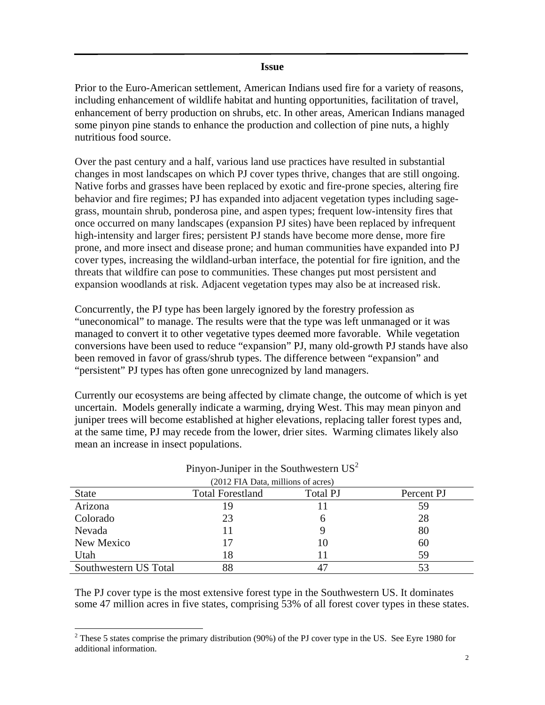#### **Issue**

Prior to the Euro-American settlement, American Indians used fire for a variety of reasons, including enhancement of wildlife habitat and hunting opportunities, facilitation of travel, enhancement of berry production on shrubs, etc. In other areas, American Indians managed some pinyon pine stands to enhance the production and collection of pine nuts, a highly nutritious food source.

Over the past century and a half, various land use practices have resulted in substantial changes in most landscapes on which PJ cover types thrive, changes that are still ongoing. Native forbs and grasses have been replaced by exotic and fire-prone species, altering fire behavior and fire regimes; PJ has expanded into adjacent vegetation types including sagegrass, mountain shrub, ponderosa pine, and aspen types; frequent low-intensity fires that once occurred on many landscapes (expansion PJ sites) have been replaced by infrequent high-intensity and larger fires; persistent PJ stands have become more dense, more fire prone, and more insect and disease prone; and human communities have expanded into PJ cover types, increasing the wildland-urban interface, the potential for fire ignition, and the threats that wildfire can pose to communities. These changes put most persistent and expansion woodlands at risk. Adjacent vegetation types may also be at increased risk.

Concurrently, the PJ type has been largely ignored by the forestry profession as "uneconomical" to manage. The results were that the type was left unmanaged or it was managed to convert it to other vegetative types deemed more favorable. While vegetation conversions have been used to reduce "expansion" PJ, many old-growth PJ stands have also been removed in favor of grass/shrub types. The difference between "expansion" and "persistent" PJ types has often gone unrecognized by land managers.

Currently our ecosystems are being affected by climate change, the outcome of which is yet uncertain. Models generally indicate a warming, drying West. This may mean pinyon and juniper trees will become established at higher elevations, replacing taller forest types and, at the same time, PJ may recede from the lower, drier sites. Warming climates likely also mean an increase in insect populations.

| (2012 FIA Data, millions of acres) |                         |                 |            |  |
|------------------------------------|-------------------------|-----------------|------------|--|
| <b>State</b>                       | <b>Total Forestland</b> | <b>Total PJ</b> | Percent PJ |  |
| Arizona                            | 19                      |                 | 59         |  |
| Colorado                           | 23                      | h               | 28         |  |
| Nevada                             |                         |                 | 80         |  |
| New Mexico                         |                         | 10              | 60         |  |
| Utah                               | 18                      |                 | 59         |  |
| Southwestern US Total              | 88                      |                 |            |  |

# Pinyon-Juniper in the Southwestern  $US^2$

The PJ cover type is the most extensive forest type in the Southwestern US. It dominates some 47 million acres in five states, comprising 53% of all forest cover types in these states.

<sup>&</sup>lt;sup>2</sup> These 5 states comprise the primary distribution (90%) of the PJ cover type in the US. See Eyre 1980 for additional information.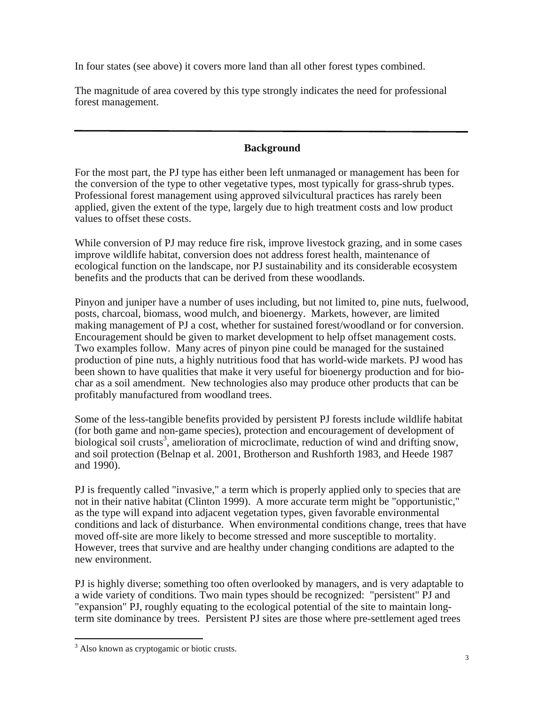In four states (see above) it covers more land than all other forest types combined.

The magnitude of area covered by this type strongly indicates the need for professional forest management.

# **Background**

For the most part, the PJ type has either been left unmanaged or management has been for the conversion of the type to other vegetative types, most typically for grass-shrub types. Professional forest management using approved silvicultural practices has rarely been applied, given the extent of the type, largely due to high treatment costs and low product values to offset these costs.

While conversion of PJ may reduce fire risk, improve livestock grazing, and in some cases improve wildlife habitat, conversion does not address forest health, maintenance of ecological function on the landscape, nor PJ sustainability and its considerable ecosystem benefits and the products that can be derived from these woodlands.

Pinyon and juniper have a number of uses including, but not limited to, pine nuts, fuelwood, posts, charcoal, biomass, wood mulch, and bioenergy. Markets, however, are limited making management of PJ a cost, whether for sustained forest/woodland or for conversion. Encouragement should be given to market development to help offset management costs. Two examples follow. Many acres of pinyon pine could be managed for the sustained production of pine nuts, a highly nutritious food that has world-wide markets. PJ wood has been shown to have qualities that make it very useful for bioenergy production and for biochar as a soil amendment. New technologies also may produce other products that can be profitably manufactured from woodland trees.

Some of the less-tangible benefits provided by persistent PJ forests include wildlife habitat (for both game and non-game species), protection and encouragement of development of biological soil crusts<sup>3</sup>, amelioration of microclimate, reduction of wind and drifting snow, and soil protection (Belnap et al. 2001, Brotherson and Rushforth 1983, and Heede 1987 and 1990).

PJ is frequently called "invasive," a term which is properly applied only to species that are not in their native habitat (Clinton 1999). A more accurate term might be "opportunistic," as the type will expand into adjacent vegetation types, given favorable environmental conditions and lack of disturbance. When environmental conditions change, trees that have moved off-site are more likely to become stressed and more susceptible to mortality. However, trees that survive and are healthy under changing conditions are adapted to the new environment.

PJ is highly diverse; something too often overlooked by managers, and is very adaptable to a wide variety of conditions. Two main types should be recognized: "persistent" PJ and "expansion" PJ, roughly equating to the ecological potential of the site to maintain longterm site dominance by trees. Persistent PJ sites are those where pre-settlement aged trees

 <sup>3</sup> Also known as cryptogamic or biotic crusts.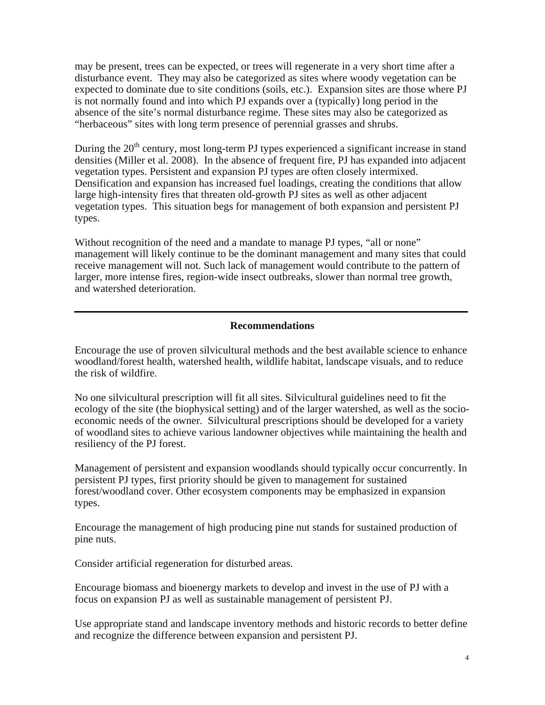may be present, trees can be expected, or trees will regenerate in a very short time after a disturbance event. They may also be categorized as sites where woody vegetation can be expected to dominate due to site conditions (soils, etc.). Expansion sites are those where PJ is not normally found and into which PJ expands over a (typically) long period in the absence of the site's normal disturbance regime. These sites may also be categorized as "herbaceous" sites with long term presence of perennial grasses and shrubs.

During the  $20<sup>th</sup>$  century, most long-term PJ types experienced a significant increase in stand densities (Miller et al. 2008). In the absence of frequent fire, PJ has expanded into adjacent vegetation types. Persistent and expansion PJ types are often closely intermixed. Densification and expansion has increased fuel loadings, creating the conditions that allow large high-intensity fires that threaten old-growth PJ sites as well as other adjacent vegetation types. This situation begs for management of both expansion and persistent PJ types.

Without recognition of the need and a mandate to manage PJ types, "all or none" management will likely continue to be the dominant management and many sites that could receive management will not. Such lack of management would contribute to the pattern of larger, more intense fires, region-wide insect outbreaks, slower than normal tree growth, and watershed deterioration.

#### **Recommendations**

Encourage the use of proven silvicultural methods and the best available science to enhance woodland/forest health, watershed health, wildlife habitat, landscape visuals, and to reduce the risk of wildfire.

No one silvicultural prescription will fit all sites. Silvicultural guidelines need to fit the ecology of the site (the biophysical setting) and of the larger watershed, as well as the socioeconomic needs of the owner. Silvicultural prescriptions should be developed for a variety of woodland sites to achieve various landowner objectives while maintaining the health and resiliency of the PJ forest.

Management of persistent and expansion woodlands should typically occur concurrently. In persistent PJ types, first priority should be given to management for sustained forest/woodland cover. Other ecosystem components may be emphasized in expansion types.

Encourage the management of high producing pine nut stands for sustained production of pine nuts.

Consider artificial regeneration for disturbed areas.

Encourage biomass and bioenergy markets to develop and invest in the use of PJ with a focus on expansion PJ as well as sustainable management of persistent PJ.

Use appropriate stand and landscape inventory methods and historic records to better define and recognize the difference between expansion and persistent PJ.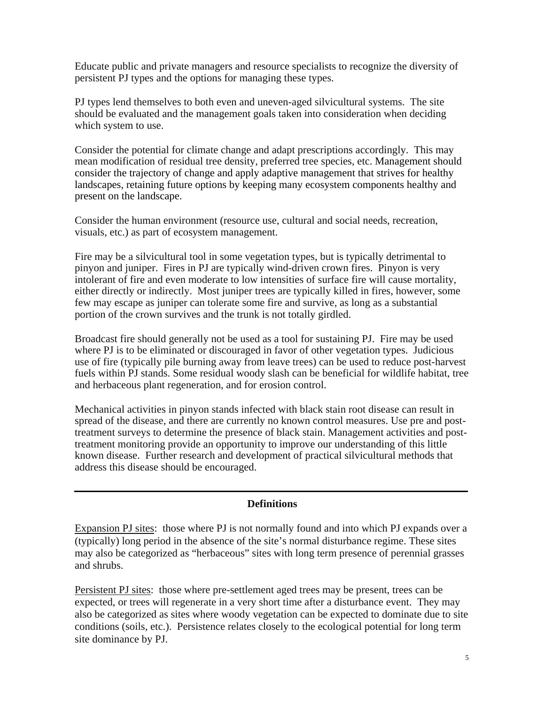Educate public and private managers and resource specialists to recognize the diversity of persistent PJ types and the options for managing these types.

PJ types lend themselves to both even and uneven-aged silvicultural systems. The site should be evaluated and the management goals taken into consideration when deciding which system to use.

Consider the potential for climate change and adapt prescriptions accordingly. This may mean modification of residual tree density, preferred tree species, etc. Management should consider the trajectory of change and apply adaptive management that strives for healthy landscapes, retaining future options by keeping many ecosystem components healthy and present on the landscape.

Consider the human environment (resource use, cultural and social needs, recreation, visuals, etc.) as part of ecosystem management.

Fire may be a silvicultural tool in some vegetation types, but is typically detrimental to pinyon and juniper. Fires in PJ are typically wind-driven crown fires. Pinyon is very intolerant of fire and even moderate to low intensities of surface fire will cause mortality, either directly or indirectly. Most juniper trees are typically killed in fires, however, some few may escape as juniper can tolerate some fire and survive, as long as a substantial portion of the crown survives and the trunk is not totally girdled.

Broadcast fire should generally not be used as a tool for sustaining PJ. Fire may be used where PJ is to be eliminated or discouraged in favor of other vegetation types. Judicious use of fire (typically pile burning away from leave trees) can be used to reduce post-harvest fuels within PJ stands. Some residual woody slash can be beneficial for wildlife habitat, tree and herbaceous plant regeneration, and for erosion control.

Mechanical activities in pinyon stands infected with black stain root disease can result in spread of the disease, and there are currently no known control measures. Use pre and posttreatment surveys to determine the presence of black stain. Management activities and posttreatment monitoring provide an opportunity to improve our understanding of this little known disease. Further research and development of practical silvicultural methods that address this disease should be encouraged.

#### **Definitions**

Expansion PJ sites: those where PJ is not normally found and into which PJ expands over a (typically) long period in the absence of the site's normal disturbance regime. These sites may also be categorized as "herbaceous" sites with long term presence of perennial grasses and shrubs.

Persistent PJ sites: those where pre-settlement aged trees may be present, trees can be expected, or trees will regenerate in a very short time after a disturbance event. They may also be categorized as sites where woody vegetation can be expected to dominate due to site conditions (soils, etc.). Persistence relates closely to the ecological potential for long term site dominance by PJ.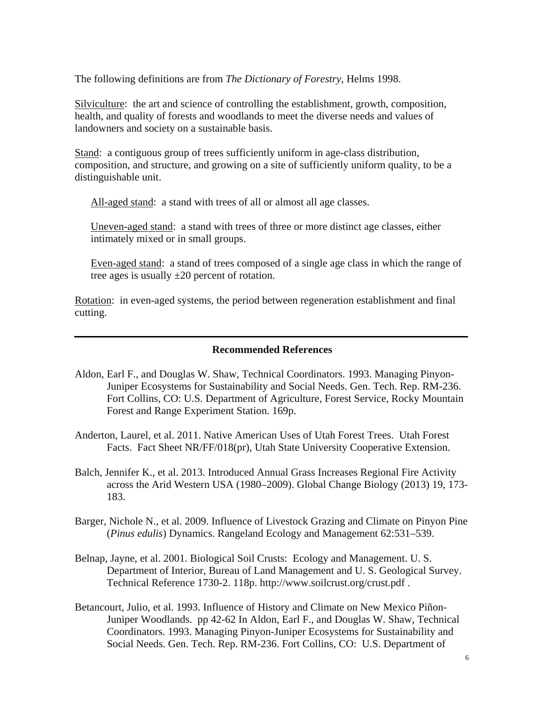The following definitions are from *The Dictionary of Forestry*, Helms 1998.

Silviculture: the art and science of controlling the establishment, growth, composition, health, and quality of forests and woodlands to meet the diverse needs and values of landowners and society on a sustainable basis.

Stand: a contiguous group of trees sufficiently uniform in age-class distribution, composition, and structure, and growing on a site of sufficiently uniform quality, to be a distinguishable unit.

All-aged stand: a stand with trees of all or almost all age classes.

Uneven-aged stand: a stand with trees of three or more distinct age classes, either intimately mixed or in small groups.

Even-aged stand: a stand of trees composed of a single age class in which the range of tree ages is usually  $\pm 20$  percent of rotation.

Rotation: in even-aged systems, the period between regeneration establishment and final cutting.

#### **Recommended References**

- Aldon, Earl F., and Douglas W. Shaw, Technical Coordinators. 1993. Managing Pinyon-Juniper Ecosystems for Sustainability and Social Needs. Gen. Tech. Rep. RM-236. Fort Collins, CO: U.S. Department of Agriculture, Forest Service, Rocky Mountain Forest and Range Experiment Station. 169p.
- Anderton, Laurel, et al. 2011. Native American Uses of Utah Forest Trees. Utah Forest Facts. Fact Sheet NR/FF/018(pr), Utah State University Cooperative Extension.
- Balch, Jennifer K., et al. 2013. Introduced Annual Grass Increases Regional Fire Activity across the Arid Western USA (1980–2009). Global Change Biology (2013) 19, 173- 183.
- Barger, Nichole N., et al. 2009. Influence of Livestock Grazing and Climate on Pinyon Pine (*Pinus edulis*) Dynamics. Rangeland Ecology and Management 62:531–539.
- Belnap, Jayne, et al. 2001. Biological Soil Crusts: Ecology and Management. U. S. Department of Interior, Bureau of Land Management and U. S. Geological Survey. Technical Reference 1730-2. 118p. http://www.soilcrust.org/crust.pdf .
- Betancourt, Julio, et al. 1993. Influence of History and Climate on New Mexico Piñon-Juniper Woodlands. pp 42-62 In Aldon, Earl F., and Douglas W. Shaw, Technical Coordinators. 1993. Managing Pinyon-Juniper Ecosystems for Sustainability and Social Needs. Gen. Tech. Rep. RM-236. Fort Collins, CO: U.S. Department of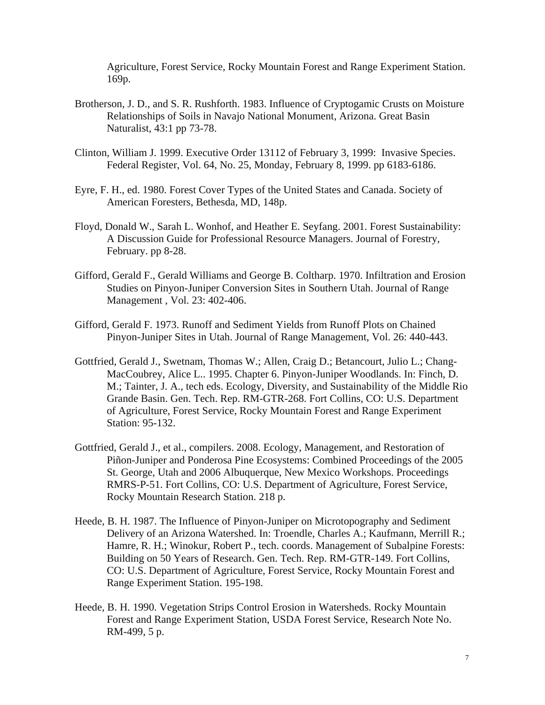Agriculture, Forest Service, Rocky Mountain Forest and Range Experiment Station. 169p.

- Brotherson, J. D., and S. R. Rushforth. 1983. Influence of Cryptogamic Crusts on Moisture Relationships of Soils in Navajo National Monument, Arizona. Great Basin Naturalist, 43:1 pp 73-78.
- Clinton, William J. 1999. Executive Order 13112 of February 3, 1999: Invasive Species. Federal Register, Vol. 64, No. 25, Monday, February 8, 1999. pp 6183-6186.
- Eyre, F. H., ed. 1980. Forest Cover Types of the United States and Canada. Society of American Foresters, Bethesda, MD, 148p.
- Floyd, Donald W., Sarah L. Wonhof, and Heather E. Seyfang. 2001. Forest Sustainability: A Discussion Guide for Professional Resource Managers. Journal of Forestry, February. pp 8-28.
- Gifford, Gerald F., Gerald Williams and George B. Coltharp. 1970. Infiltration and Erosion Studies on Pinyon-Juniper Conversion Sites in Southern Utah. Journal of Range Management , Vol. 23: 402-406.
- Gifford, Gerald F. 1973. Runoff and Sediment Yields from Runoff Plots on Chained Pinyon-Juniper Sites in Utah. Journal of Range Management, Vol. 26: 440-443.
- Gottfried, Gerald J., Swetnam, Thomas W.; Allen, Craig D.; Betancourt, Julio L.; Chang-MacCoubrey, Alice L.. 1995. Chapter 6. Pinyon-Juniper Woodlands. In: Finch, D. M.; Tainter, J. A., tech eds. Ecology, Diversity, and Sustainability of the Middle Rio Grande Basin. Gen. Tech. Rep. RM-GTR-268. Fort Collins, CO: U.S. Department of Agriculture, Forest Service, Rocky Mountain Forest and Range Experiment Station: 95-132.
- Gottfried, Gerald J., et al., compilers. 2008. Ecology, Management, and Restoration of Piñon-Juniper and Ponderosa Pine Ecosystems: Combined Proceedings of the 2005 St. George, Utah and 2006 Albuquerque, New Mexico Workshops. Proceedings RMRS-P-51. Fort Collins, CO: U.S. Department of Agriculture, Forest Service, Rocky Mountain Research Station. 218 p.
- Heede, B. H. 1987. The Influence of Pinyon-Juniper on Microtopography and Sediment Delivery of an Arizona Watershed. In: Troendle, Charles A.; Kaufmann, Merrill R.; Hamre, R. H.; Winokur, Robert P., tech. coords. Management of Subalpine Forests: Building on 50 Years of Research. Gen. Tech. Rep. RM-GTR-149. Fort Collins, CO: U.S. Department of Agriculture, Forest Service, Rocky Mountain Forest and Range Experiment Station. 195-198.
- Heede, B. H. 1990. Vegetation Strips Control Erosion in Watersheds. Rocky Mountain Forest and Range Experiment Station, USDA Forest Service, Research Note No. RM-499, 5 p.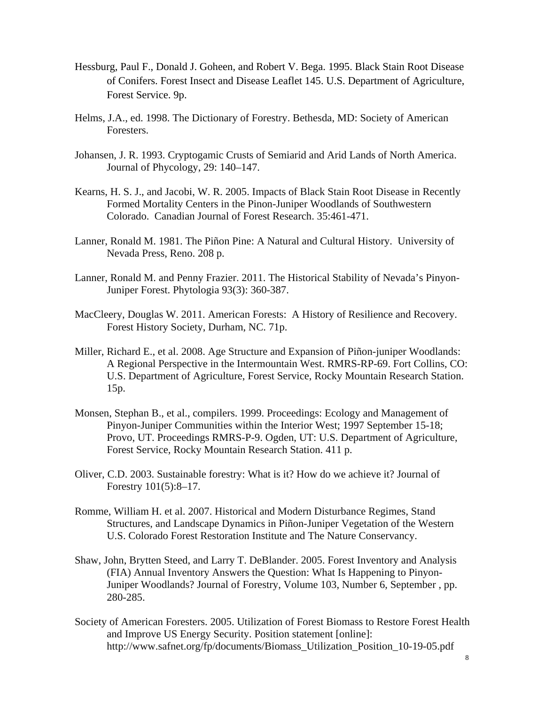- Hessburg, Paul F., Donald J. Goheen, and Robert V. Bega. 1995. Black Stain Root Disease of Conifers. Forest Insect and Disease Leaflet 145. U.S. Department of Agriculture, Forest Service. 9p.
- Helms, J.A., ed. 1998. The Dictionary of Forestry. Bethesda, MD: Society of American Foresters.
- Johansen, J. R. 1993. Cryptogamic Crusts of Semiarid and Arid Lands of North America. Journal of Phycology, 29: 140–147.
- Kearns, H. S. J., and Jacobi, W. R. 2005. Impacts of Black Stain Root Disease in Recently Formed Mortality Centers in the Pinon-Juniper Woodlands of Southwestern Colorado. Canadian Journal of Forest Research. 35:461-471.
- Lanner, Ronald M. 1981. The Piñon Pine: A Natural and Cultural History. University of Nevada Press, Reno. 208 p.
- Lanner, Ronald M. and Penny Frazier. 2011. The Historical Stability of Nevada's Pinyon-Juniper Forest. Phytologia 93(3): 360-387.
- MacCleery, Douglas W. 2011. American Forests: A History of Resilience and Recovery. Forest History Society, Durham, NC. 71p.
- Miller, Richard E., et al. 2008. Age Structure and Expansion of Piñon-juniper Woodlands: A Regional Perspective in the Intermountain West. RMRS-RP-69. Fort Collins, CO: U.S. Department of Agriculture, Forest Service, Rocky Mountain Research Station. 15p.
- Monsen, Stephan B., et al., compilers. 1999. Proceedings: Ecology and Management of Pinyon-Juniper Communities within the Interior West; 1997 September 15-18; Provo, UT. Proceedings RMRS-P-9. Ogden, UT: U.S. Department of Agriculture, Forest Service, Rocky Mountain Research Station. 411 p.
- Oliver, C.D. 2003. Sustainable forestry: What is it? How do we achieve it? Journal of Forestry 101(5):8–17.
- Romme, William H. et al. 2007. Historical and Modern Disturbance Regimes, Stand Structures, and Landscape Dynamics in Piñon-Juniper Vegetation of the Western U.S. Colorado Forest Restoration Institute and The Nature Conservancy.
- Shaw, John, Brytten Steed, and Larry T. DeBlander. 2005. Forest Inventory and Analysis (FIA) Annual Inventory Answers the Question: What Is Happening to Pinyon-Juniper Woodlands? Journal of Forestry, Volume 103, Number 6, September , pp. 280-285.
- Society of American Foresters. 2005. Utilization of Forest Biomass to Restore Forest Health and Improve US Energy Security. Position statement [online]: http://www.safnet.org/fp/documents/Biomass\_Utilization\_Position\_10-19-05.pdf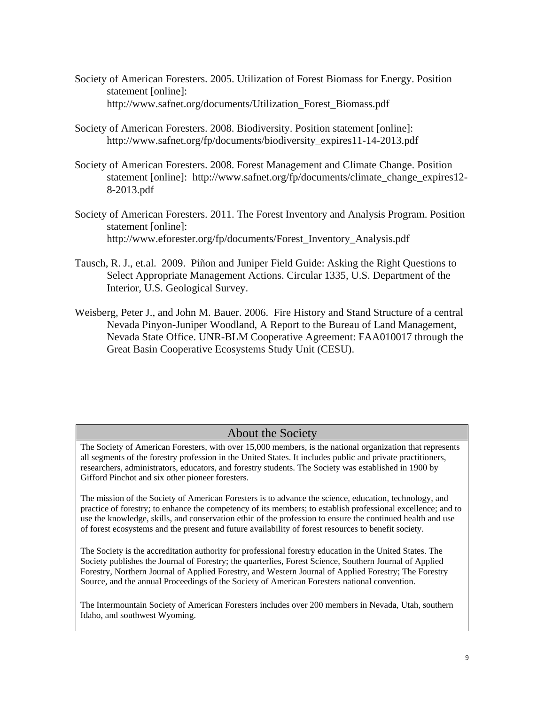- Society of American Foresters. 2005. Utilization of Forest Biomass for Energy. Position statement [online]: http://www.safnet.org/documents/Utilization\_Forest\_Biomass.pdf
- Society of American Foresters. 2008. Biodiversity. Position statement [online]: http://www.safnet.org/fp/documents/biodiversity\_expires11-14-2013.pdf
- Society of American Foresters. 2008. Forest Management and Climate Change. Position statement [online]: http://www.safnet.org/fp/documents/climate\_change\_expires12- 8-2013.pdf
- Society of American Foresters. 2011. The Forest Inventory and Analysis Program. Position statement [online]: http://www.eforester.org/fp/documents/Forest\_Inventory\_Analysis.pdf
- Tausch, R. J., et.al. 2009. Piñon and Juniper Field Guide: Asking the Right Questions to Select Appropriate Management Actions. Circular 1335, U.S. Department of the Interior, U.S. Geological Survey.
- Weisberg, Peter J., and John M. Bauer. 2006. Fire History and Stand Structure of a central Nevada Pinyon-Juniper Woodland, A Report to the Bureau of Land Management, Nevada State Office. UNR-BLM Cooperative Agreement: FAA010017 through the Great Basin Cooperative Ecosystems Study Unit (CESU).

# About the Society

The Society of American Foresters, with over 15,000 members, is the national organization that represents all segments of the forestry profession in the United States. It includes public and private practitioners, researchers, administrators, educators, and forestry students. The Society was established in 1900 by Gifford Pinchot and six other pioneer foresters.

The mission of the Society of American Foresters is to advance the science, education, technology, and practice of forestry; to enhance the competency of its members; to establish professional excellence; and to use the knowledge, skills, and conservation ethic of the profession to ensure the continued health and use of forest ecosystems and the present and future availability of forest resources to benefit society.

The Society is the accreditation authority for professional forestry education in the United States. The Society publishes the Journal of Forestry; the quarterlies, Forest Science, Southern Journal of Applied Forestry, Northern Journal of Applied Forestry, and Western Journal of Applied Forestry; The Forestry Source, and the annual Proceedings of the Society of American Foresters national convention.

The Intermountain Society of American Foresters includes over 200 members in Nevada, Utah, southern Idaho, and southwest Wyoming.